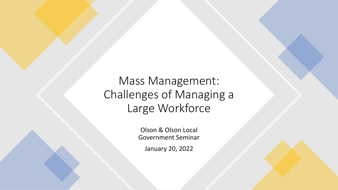Mass Management: Challenges of Managing a Large Workforce

> Olson & Olson Local Government Seminar

January 20, 2022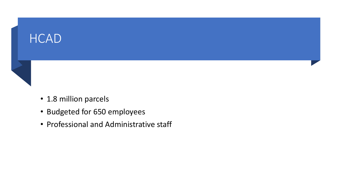#### **HCAD**



- 1.8 million parcels
- Budgeted for 650 employees
- Professional and Administrative staff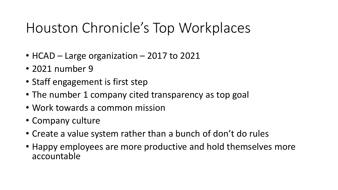# Houston Chronicle's Top Workplaces

- HCAD Large organization 2017 to 2021
- 2021 number 9
- Staff engagement is first step
- The number 1 company cited transparency as top goal
- Work towards a common mission
- Company culture
- Create a value system rather than a bunch of don't do rules
- Happy employees are more productive and hold themselves more accountable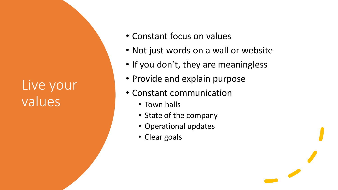# Live your values

- Constant focus on values
- Not just words on a wall or website
- If you don't, they are meaningless
- Provide and explain purpose
- Constant communication
	- Town halls
	- State of the company
	- Operational updates
	- Clear goals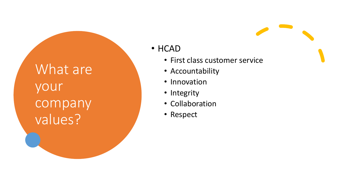What are your company values?

- HCAD
	- First class customer service
	- Accountability
	- Innovation
	- Integrity
	- Collaboration
	- Respect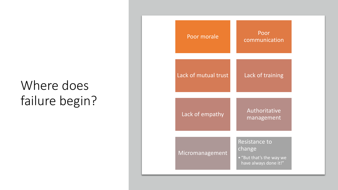## Where does failure begin?

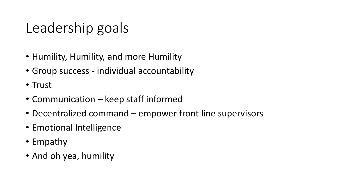# Leadership goals

- Humility, Humility, and more Humility
- Group success individual accountability
- Trust
- Communication keep staff informed
- Decentralized command empower front line supervisors
- Emotional Intelligence
- Empathy
- And oh yea, humility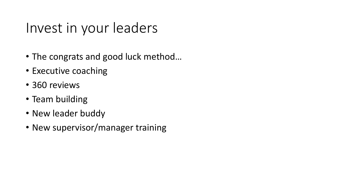## Invest in your leaders

- The congrats and good luck method…
- Executive coaching
- 360 reviews
- Team building
- New leader buddy
- New supervisor/manager training